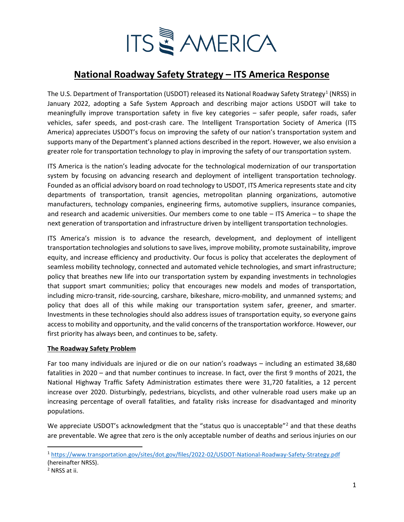

# **National Roadway Safety Strategy – ITS America Response**

The U.S. Department of Transportation (USDOT) released its National Roadway Safety Strategy<sup>[1](#page-0-0)</sup> (NRSS) in January 2022, adopting a Safe System Approach and describing major actions USDOT will take to meaningfully improve transportation safety in five key categories – safer people, safer roads, safer vehicles, safer speeds, and post-crash care. The Intelligent Transportation Society of America (ITS America) appreciates USDOT's focus on improving the safety of our nation's transportation system and supports many of the Department's planned actions described in the report. However, we also envision a greater role for transportation technology to play in improving the safety of our transportation system.

ITS America is the nation's leading advocate for the technological modernization of our transportation system by focusing on advancing research and deployment of intelligent transportation technology. Founded as an official advisory board on road technology to USDOT, ITS America represents state and city departments of transportation, transit agencies, metropolitan planning organizations, automotive manufacturers, technology companies, engineering firms, automotive suppliers, insurance companies, and research and academic universities. Our members come to one table – ITS America – to shape the next generation of transportation and infrastructure driven by intelligent transportation technologies.

ITS America's mission is to advance the research, development, and deployment of intelligent transportation technologies and solutions to save lives, improve mobility, promote sustainability, improve equity, and increase efficiency and productivity. Our focus is policy that accelerates the deployment of seamless mobility technology, connected and automated vehicle technologies, and smart infrastructure; policy that breathes new life into our transportation system by expanding investments in technologies that support smart communities; policy that encourages new models and modes of transportation, including micro-transit, ride-sourcing, carshare, bikeshare, micro-mobility, and unmanned systems; and policy that does all of this while making our transportation system safer, greener, and smarter. Investments in these technologies should also address issues of transportation equity, so everyone gains access to mobility and opportunity, and the valid concerns of the transportation workforce. However, our first priority has always been, and continues to be, safety.

#### **The Roadway Safety Problem**

Far too many individuals are injured or die on our nation's roadways – including an estimated 38,680 fatalities in 2020 – and that number continues to increase. In fact, over the first 9 months of 2021, the National Highway Traffic Safety Administration estimates there were 31,720 fatalities, a 12 percent increase over 2020. Disturbingly, pedestrians, bicyclists, and other vulnerable road users make up an increasing percentage of overall fatalities, and fatality risks increase for disadvantaged and minority populations.

We appreciate USDOT's acknowledgment that the "status quo is unacceptable"<sup>[2](#page-0-1)</sup> and that these deaths are preventable. We agree that zero is the only acceptable number of deaths and serious injuries on our

<span id="page-0-0"></span><sup>1</sup> https://www.transportation.gov/sites/dot.gov/files/2022-02/USDOT-National-Roadway-Safety-Strategy.pdf (hereinafter NRSS).

<span id="page-0-1"></span><sup>2</sup> NRSS at ii.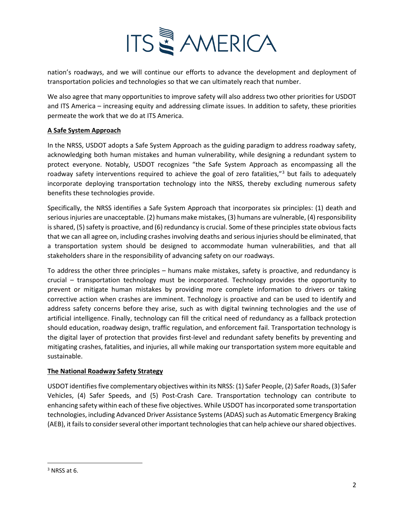

nation's roadways, and we will continue our efforts to advance the development and deployment of transportation policies and technologies so that we can ultimately reach that number.

We also agree that many opportunities to improve safety will also address two other priorities for USDOT and ITS America – increasing equity and addressing climate issues. In addition to safety, these priorities permeate the work that we do at ITS America.

## **A Safe System Approach**

In the NRSS, USDOT adopts a Safe System Approach as the guiding paradigm to address roadway safety, acknowledging both human mistakes and human vulnerability, while designing a redundant system to protect everyone. Notably, USDOT recognizes "the Safe System Approach as encompassing all the roadway safety interventions required to achieve the goal of zero fatalities,"<sup>[3](#page-1-0)</sup> but fails to adequately incorporate deploying transportation technology into the NRSS, thereby excluding numerous safety benefits these technologies provide.

Specifically, the NRSS identifies a Safe System Approach that incorporates six principles: (1) death and serious injuries are unacceptable. (2) humans make mistakes, (3) humans are vulnerable, (4) responsibility is shared, (5) safety is proactive, and (6) redundancy is crucial. Some of these principles state obvious facts that we can all agree on, including crashes involving deaths and serious injuries should be eliminated, that a transportation system should be designed to accommodate human vulnerabilities, and that all stakeholders share in the responsibility of advancing safety on our roadways.

To address the other three principles – humans make mistakes, safety is proactive, and redundancy is crucial – transportation technology must be incorporated. Technology provides the opportunity to prevent or mitigate human mistakes by providing more complete information to drivers or taking corrective action when crashes are imminent. Technology is proactive and can be used to identify and address safety concerns before they arise, such as with digital twinning technologies and the use of artificial intelligence. Finally, technology can fill the critical need of redundancy as a fallback protection should education, roadway design, traffic regulation, and enforcement fail. Transportation technology is the digital layer of protection that provides first-level and redundant safety benefits by preventing and mitigating crashes, fatalities, and injuries, all while making our transportation system more equitable and sustainable.

#### **The National Roadway Safety Strategy**

USDOT identifies five complementary objectives within its NRSS: (1) Safer People, (2) Safer Roads, (3) Safer Vehicles, (4) Safer Speeds, and (5) Post-Crash Care. Transportation technology can contribute to enhancing safety within each of these five objectives. While USDOT has incorporated some transportation technologies, including Advanced Driver Assistance Systems (ADAS) such as Automatic Emergency Braking (AEB), it fails to consider several other important technologies that can help achieve our shared objectives.

<span id="page-1-0"></span> $3$  NRSS at 6.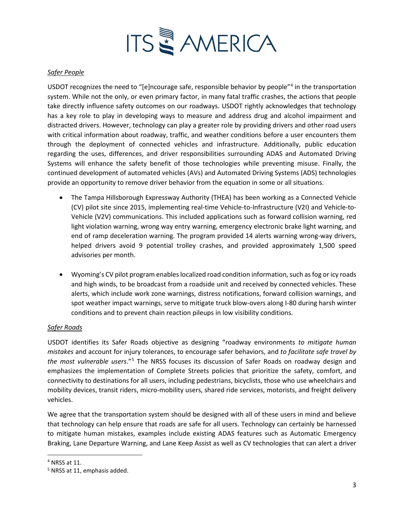

### *Safer People*

USDOT recognizes the need to "[e]ncourage safe, responsible behavior by people"[4](#page-2-0) in the transportation system. While not the only, or even primary factor, in many fatal traffic crashes, the actions that people take directly influence safety outcomes on our roadways. USDOT rightly acknowledges that technology has a key role to play in developing ways to measure and address drug and alcohol impairment and distracted drivers. However, technology can play a greater role by providing drivers and other road users with critical information about roadway, traffic, and weather conditions before a user encounters them through the deployment of connected vehicles and infrastructure. Additionally, public education regarding the uses, differences, and driver responsibilities surrounding ADAS and Automated Driving Systems will enhance the safety benefit of those technologies while preventing misuse. Finally, the continued development of automated vehicles (AVs) and Automated Driving Systems (ADS) technologies provide an opportunity to remove driver behavior from the equation in some or all situations.

- The Tampa Hillsborough Expressway Authority (THEA) has been working as a Connected Vehicle (CV) pilot site since 2015, implementing real-time Vehicle-to-Infrastructure (V2I) and Vehicle-to-Vehicle (V2V) communications. This included applications such as forward collision warning, red light violation warning, wrong way entry warning, emergency electronic brake light warning, and end of ramp deceleration warning. The program provided 14 alerts warning wrong-way drivers, helped drivers avoid 9 potential trolley crashes, and provided approximately 1,500 speed advisories per month.
- Wyoming's CV pilot program enables localized road condition information, such as fog or icy roads and high winds, to be broadcast from a roadside unit and received by connected vehicles. These alerts, which include work zone warnings, distress notifications, forward collision warnings, and spot weather impact warnings, serve to mitigate truck blow-overs along I-80 during harsh winter conditions and to prevent chain reaction pileups in low visibility conditions.

#### *Safer Roads*

USDOT identifies its Safer Roads objective as designing "roadway environments *to mitigate human mistakes* and account for injury tolerances, to encourage safer behaviors, and *to facilitate safe travel by the most vulnerable users*."[5](#page-2-1) The NRSS focuses its discussion of Safer Roads on roadway design and emphasizes the implementation of Complete Streets policies that prioritize the safety, comfort, and connectivity to destinations for all users, including pedestrians, bicyclists, those who use wheelchairs and mobility devices, transit riders, micro-mobility users, shared ride services, motorists, and freight delivery vehicles.

We agree that the transportation system should be designed with all of these users in mind and believe that technology can help ensure that roads are safe for all users. Technology can certainly be harnessed to mitigate human mistakes, examples include existing ADAS features such as Automatic Emergency Braking, Lane Departure Warning, and Lane Keep Assist as well as CV technologies that can alert a driver

<span id="page-2-0"></span><sup>4</sup> NRSS at 11.

<span id="page-2-1"></span><sup>5</sup> NRSS at 11, emphasis added.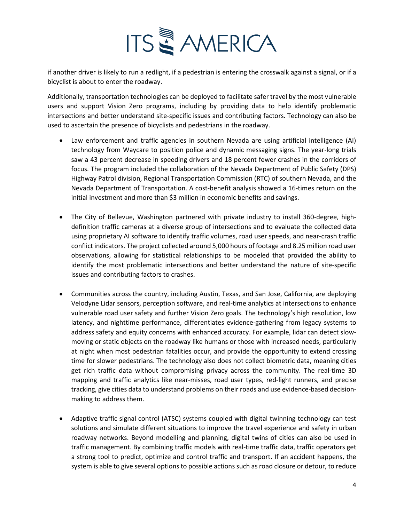

if another driver is likely to run a redlight, if a pedestrian is entering the crosswalk against a signal, or if a bicyclist is about to enter the roadway.

Additionally, transportation technologies can be deployed to facilitate safer travel by the most vulnerable users and support Vision Zero programs, including by providing data to help identify problematic intersections and better understand site-specific issues and contributing factors. Technology can also be used to ascertain the presence of bicyclists and pedestrians in the roadway.

- Law enforcement and traffic agencies in southern Nevada are using artificial intelligence (AI) technology from Waycare to position police and dynamic messaging signs. The year-long trials saw a 43 percent decrease in speeding drivers and 18 percent fewer crashes in the corridors of focus. The program included the collaboration of the Nevada Department of Public Safety (DPS) Highway Patrol division, Regional Transportation Commission (RTC) of southern Nevada, and the Nevada Department of Transportation. A cost-benefit analysis showed a 16-times return on the initial investment and more than \$3 million in economic benefits and savings.
- The City of Bellevue, Washington partnered with private industry to install 360-degree, highdefinition traffic cameras at a diverse group of intersections and to evaluate the collected data using proprietary AI software to identify traffic volumes, road user speeds, and near-crash traffic conflict indicators. The project collected around 5,000 hours of footage and 8.25 million road user observations, allowing for statistical relationships to be modeled that provided the ability to identify the most problematic intersections and better understand the nature of site-specific issues and contributing factors to crashes.
- Communities across the country, including Austin, Texas, and San Jose, California, are deploying Velodyne Lidar sensors, perception software, and real-time analytics at intersections to enhance vulnerable road user safety and further Vision Zero goals. The technology's high resolution, low latency, and nighttime performance, differentiates evidence-gathering from legacy systems to address safety and equity concerns with enhanced accuracy. For example, lidar can detect slowmoving or static objects on the roadway like humans or those with increased needs, particularly at night when most pedestrian fatalities occur, and provide the opportunity to extend crossing time for slower pedestrians. The technology also does not collect biometric data, meaning cities get rich traffic data without compromising privacy across the community. The real-time 3D mapping and traffic analytics like near-misses, road user types, red-light runners, and precise tracking, give cities data to understand problems on their roads and use evidence-based decisionmaking to address them.
- Adaptive traffic signal control (ATSC) systems coupled with digital twinning technology can test solutions and simulate different situations to improve the travel experience and safety in urban roadway networks. Beyond modelling and planning, digital twins of cities can also be used in traffic management. By combining traffic models with real-time traffic data, traffic operators get a strong tool to predict, optimize and control traffic and transport. If an accident happens, the system is able to give several options to possible actions such as road closure or detour, to reduce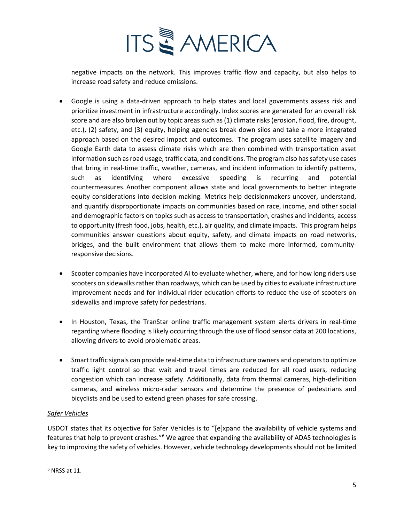

negative impacts on the network. This improves traffic flow and capacity, but also helps to increase road safety and reduce emissions.

- Google is using a data-driven approach to help states and local governments assess risk and prioritize investment in infrastructure accordingly. Index scores are generated for an overall risk score and are also broken out by topic areas such as (1) climate risks (erosion, flood, fire, drought, etc.), (2) safety, and (3) equity, helping agencies break down silos and take a more integrated approach based on the desired impact and outcomes.  The program uses satellite imagery and Google Earth data to assess climate risks which are then combined with transportation asset information such as road usage, traffic data, and conditions. The program also has safety use cases that bring in real-time traffic, weather, cameras, and incident information to identify patterns, such as identifying where excessive speeding is recurring and potential countermeasures. Another component allows state and local governments to better integrate equity considerations into decision making. Metrics help decisionmakers uncover, understand, and quantify disproportionate impacts on communities based on race, income, and other social and demographic factors on topics such as access to transportation, crashes and incidents, access to opportunity (fresh food, jobs, health, etc.), air quality, and climate impacts.  This program helps communities answer questions about equity, safety, and climate impacts on road networks, bridges, and the built environment that allows them to make more informed, communityresponsive decisions.
- Scooter companies have incorporated AI to evaluate whether, where, and for how long riders use scooters on sidewalks rather than roadways, which can be used by cities to evaluate infrastructure improvement needs and for individual rider education efforts to reduce the use of scooters on sidewalks and improve safety for pedestrians.
- In Houston, Texas, the TranStar online traffic management system alerts drivers in real-time regarding where flooding is likely occurring through the use of flood sensor data at 200 locations, allowing drivers to avoid problematic areas.
- Smart traffic signals can provide real-time data to infrastructure owners and operators to optimize traffic light control so that wait and travel times are reduced for all road users, reducing congestion which can increase safety. Additionally, data from thermal cameras, high-definition cameras, and wireless micro-radar sensors and determine the presence of pedestrians and bicyclists and be used to extend green phases for safe crossing.

# *Safer Vehicles*

USDOT states that its objective for Safer Vehicles is to "[e]xpand the availability of vehicle systems and features that help to prevent crashes."[6](#page-4-0) We agree that expanding the availability of ADAS technologies is key to improving the safety of vehicles. However, vehicle technology developments should not be limited

<span id="page-4-0"></span> $6$  NRSS at 11.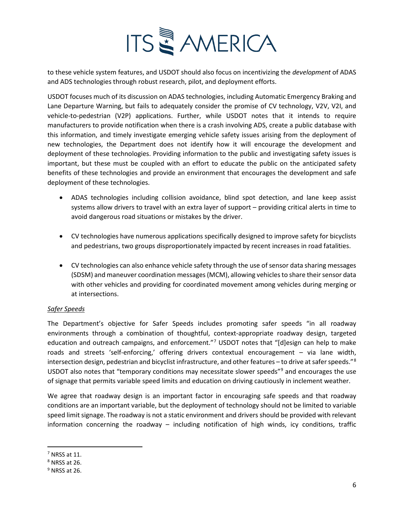

to these vehicle system features, and USDOT should also focus on incentivizing the *development* of ADAS and ADS technologies through robust research, pilot, and deployment efforts.

USDOT focuses much of its discussion on ADAS technologies, including Automatic Emergency Braking and Lane Departure Warning, but fails to adequately consider the promise of CV technology, V2V, V2I, and vehicle-to-pedestrian (V2P) applications. Further, while USDOT notes that it intends to require manufacturers to provide notification when there is a crash involving ADS, create a public database with this information, and timely investigate emerging vehicle safety issues arising from the deployment of new technologies, the Department does not identify how it will encourage the development and deployment of these technologies. Providing information to the public and investigating safety issues is important, but these must be coupled with an effort to educate the public on the anticipated safety benefits of these technologies and provide an environment that encourages the development and safe deployment of these technologies.

- ADAS technologies including collision avoidance, blind spot detection, and lane keep assist systems allow drivers to travel with an extra layer of support – providing critical alerts in time to avoid dangerous road situations or mistakes by the driver.
- CV technologies have numerous applications specifically designed to improve safety for bicyclists and pedestrians, two groups disproportionately impacted by recent increases in road fatalities.
- CV technologies can also enhance vehicle safety through the use of sensor data sharing messages (SDSM) and maneuver coordination messages (MCM), allowing vehicles to share their sensor data with other vehicles and providing for coordinated movement among vehicles during merging or at intersections.

# *Safer Speeds*

The Department's objective for Safer Speeds includes promoting safer speeds "in all roadway environments through a combination of thoughtful, context-appropriate roadway design, targeted education and outreach campaigns, and enforcement."[7](#page-5-0) USDOT notes that "[d]esign can help to make roads and streets 'self-enforcing,' offering drivers contextual encouragement – via lane width, intersection design, pedestrian and bicyclist infrastructure, and other features – to drive at safer speeds."[8](#page-5-1) USDOT also notes that "temporary conditions may necessitate slower speeds"<sup>[9](#page-5-2)</sup> and encourages the use of signage that permits variable speed limits and education on driving cautiously in inclement weather.

We agree that roadway design is an important factor in encouraging safe speeds and that roadway conditions are an important variable, but the deployment of technology should not be limited to variable speed limit signage. The roadway is not a static environment and drivers should be provided with relevant information concerning the roadway – including notification of high winds, icy conditions, traffic

<span id="page-5-0"></span> $<sup>7</sup>$  NRSS at 11.</sup>

<span id="page-5-1"></span> $8$  NRSS at 26.

<span id="page-5-2"></span> $9$  NRSS at 26.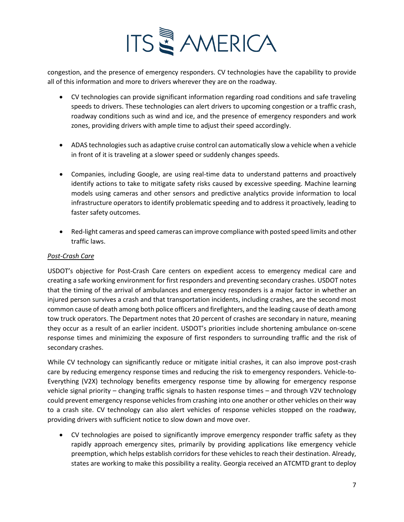

congestion, and the presence of emergency responders. CV technologies have the capability to provide all of this information and more to drivers wherever they are on the roadway.

- CV technologies can provide significant information regarding road conditions and safe traveling speeds to drivers. These technologies can alert drivers to upcoming congestion or a traffic crash, roadway conditions such as wind and ice, and the presence of emergency responders and work zones, providing drivers with ample time to adjust their speed accordingly.
- ADAS technologies such as adaptive cruise control can automatically slow a vehicle when a vehicle in front of it is traveling at a slower speed or suddenly changes speeds.
- Companies, including Google, are using real-time data to understand patterns and proactively identify actions to take to mitigate safety risks caused by excessive speeding. Machine learning models using cameras and other sensors and predictive analytics provide information to local infrastructure operators to identify problematic speeding and to address it proactively, leading to faster safety outcomes.
- Red-light cameras and speed cameras can improve compliance with posted speed limits and other traffic laws.

## *Post-Crash Care*

USDOT's objective for Post-Crash Care centers on expedient access to emergency medical care and creating a safe working environment for first responders and preventing secondary crashes. USDOT notes that the timing of the arrival of ambulances and emergency responders is a major factor in whether an injured person survives a crash and that transportation incidents, including crashes, are the second most common cause of death among both police officers and firefighters, and the leading cause of death among tow truck operators. The Department notes that 20 percent of crashes are secondary in nature, meaning they occur as a result of an earlier incident. USDOT's priorities include shortening ambulance on-scene response times and minimizing the exposure of first responders to surrounding traffic and the risk of secondary crashes.

While CV technology can significantly reduce or mitigate initial crashes, it can also improve post-crash care by reducing emergency response times and reducing the risk to emergency responders. Vehicle-to-Everything (V2X) technology benefits emergency response time by allowing for emergency response vehicle signal priority – changing traffic signals to hasten response times – and through V2V technology could prevent emergency response vehicles from crashing into one another or other vehicles on their way to a crash site. CV technology can also alert vehicles of response vehicles stopped on the roadway, providing drivers with sufficient notice to slow down and move over.

• CV technologies are poised to significantly improve emergency responder traffic safety as they rapidly approach emergency sites, primarily by providing applications like emergency vehicle preemption, which helps establish corridors for these vehicles to reach their destination. Already, states are working to make this possibility a reality. Georgia received an ATCMTD grant to deploy